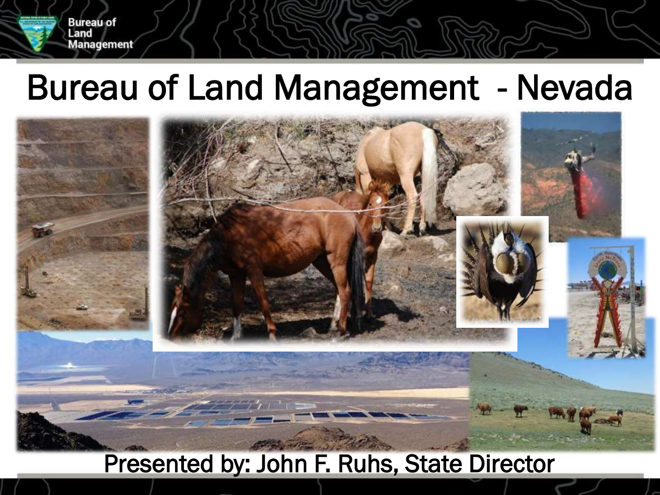#### Bureau of Land Management - Nevada

**Bureau of** Land

**Management** 



#### Presented by: John F. Ruhs, State Director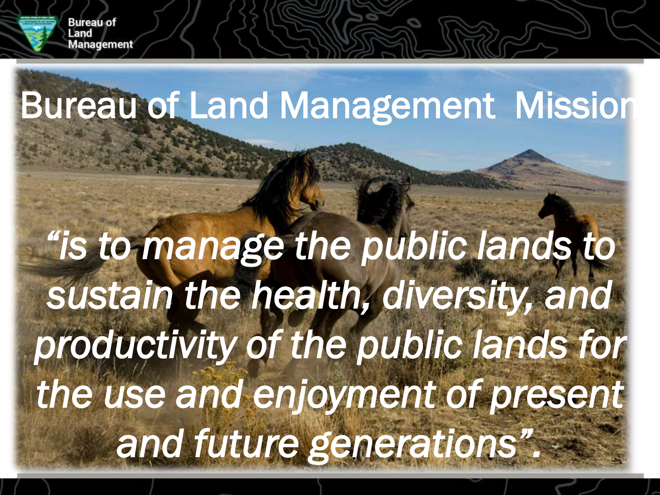

### Bureau of Land Management Mission

## *"is to manage the public lands to sustain the health, diversity, and productivity of the public lands for the use and enjoyment of present and future generations".*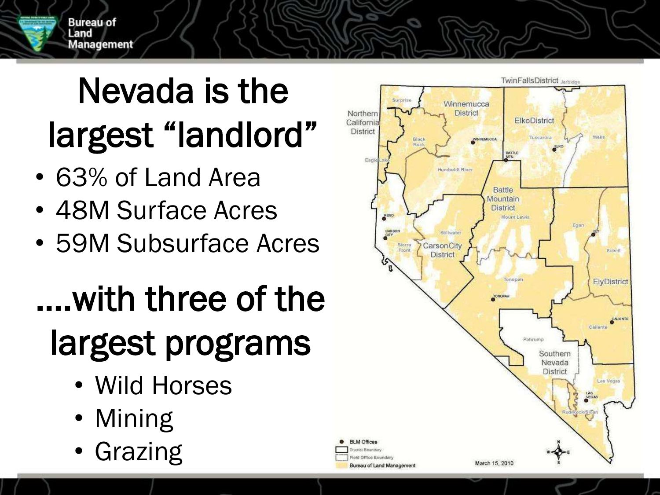

### Nevada is the largest "landlord"

- 63% of Land Area
- 48M Surface Acres
- 59M Subsurface Acres

### ….with three of the largest programs

- Wild Horses
- Mining
- **Grazing**

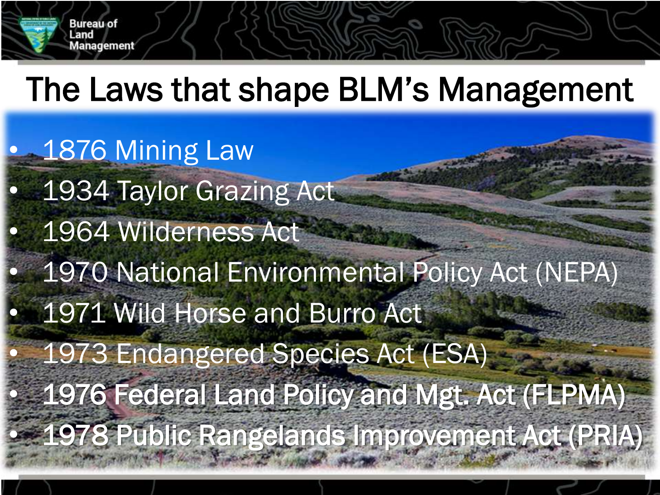

### The Laws that shape BLM's Management

1876 Mining Law 1934 Taylor Grazing Act • 1964 Wilderness Act • 1970 National Environmental Policy Act (NEPA) 1971 Wild Horse and Burro Act • 1973 Endangered Species Act (ESA) • 1976 Federal Land Policy and Mgt. Act (FLPMA) • 1978 Public Rangelands Improvement Act (PRIA)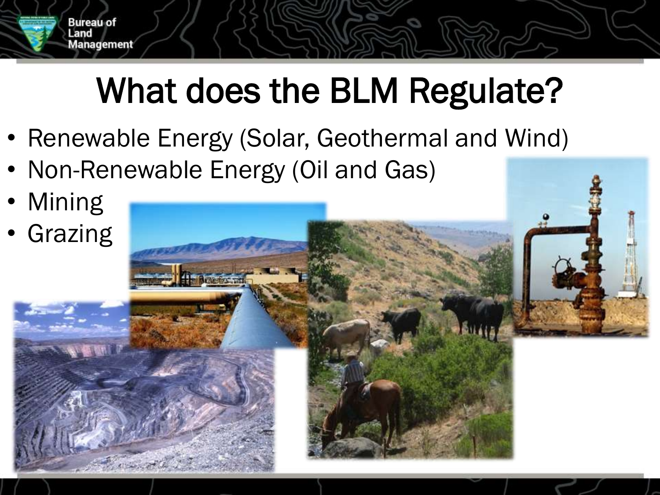

- Renewable Energy (Solar, Geothermal and Wind)
- Non-Renewable Energy (Oil and Gas)
- Mining

**Bureau of** Land

**Aanagement** 

**Grazing**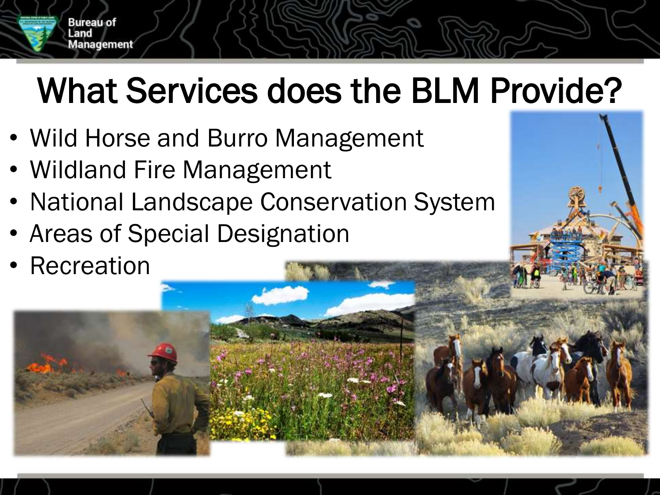

### What Services does the BLM Provide?

- Wild Horse and Burro Management
- Wildland Fire Management
- National Landscape Conservation System
- Areas of Special Designation
- Recreation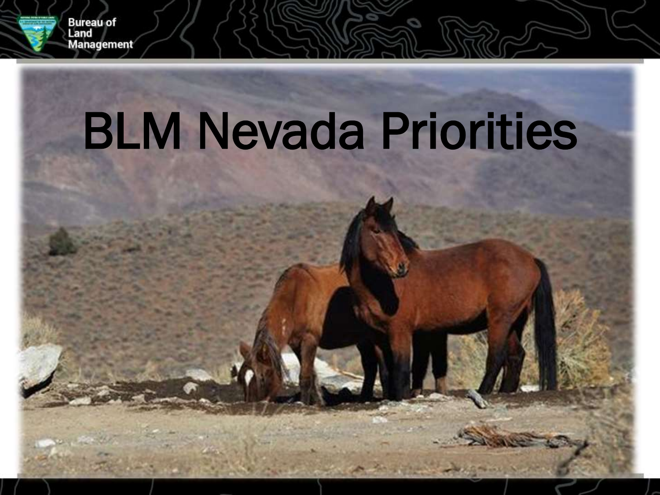

Bureau of<br>Land

**Management** 

# BLM Nevada Priorities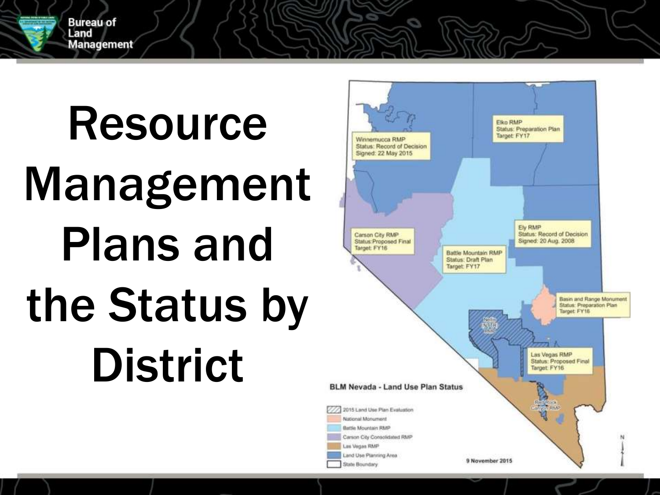

Resource Management Plans and the Status by District

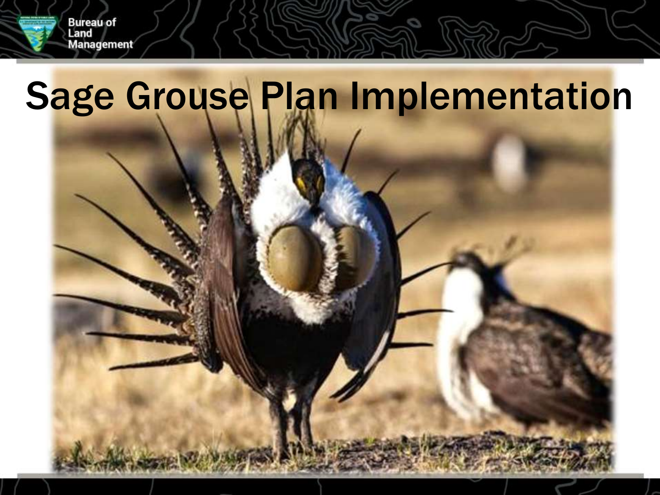

### Sage Grouse Plan Implementation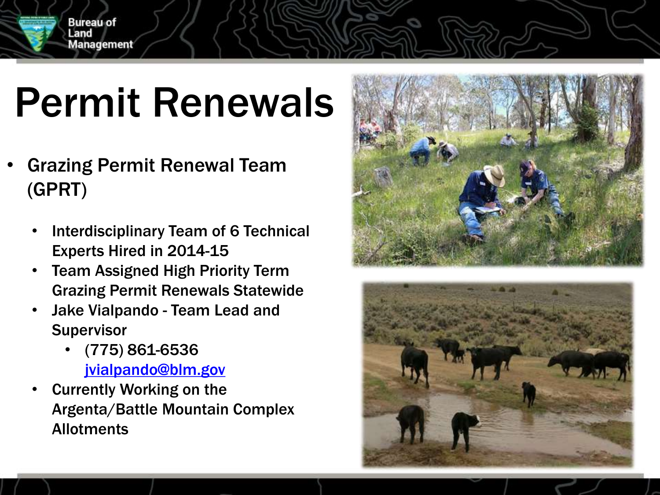

### Permit Renewals

- Grazing Permit Renewal Team (GPRT)
	- Interdisciplinary Team of 6 Technical Experts Hired in 2014-15
	- Team Assigned High Priority Term Grazing Permit Renewals Statewide
	- Jake Vialpando Team Lead and **Supervisor** 
		- (775) 861-6536 [jvialpando@blm.gov](mailto:jvialpando@blm.gov)
	- **Currently Working on the** Argenta/Battle Mountain Complex **Allotments**



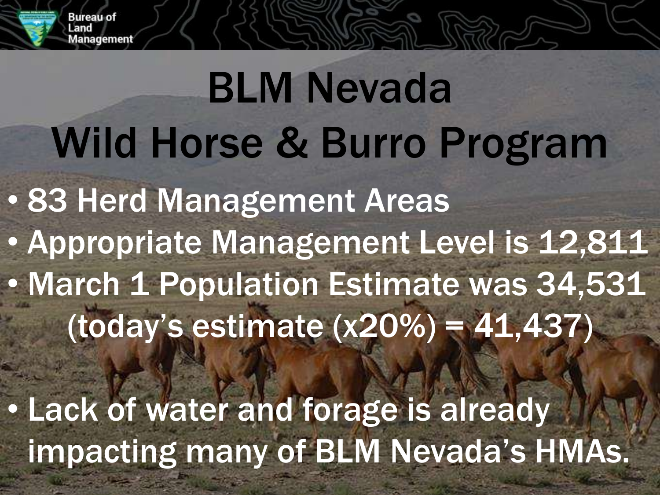

## • 83 Herd Management Areas • Appropriate Management Level is 12,811 • March 1 Population Estimate was 34,531 (today's estimate (x20%) = 41,437) BLM Nevada Wild Horse & Burro Program

• Lack of water and forage is already impacting many of BLM Nevada's HMAs.